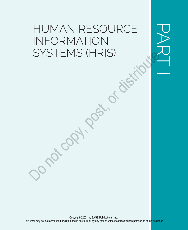# HUMAN RESOURCE INFORMATION SYSTEMS (HRIS)

Do Notes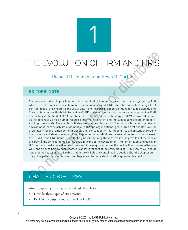# THE EVOLUTION OF HRM AND

1

# Richard D. Johnson and Kevin D. Carlson

# **EDITORS' NOTE**

The purpose of this chapter is to introduce the field of human resource information systems (HRIS), which lies at the intersection of human resource management (HRM) and information technology (IT). A central focus of this chapter is the use of data from the HRIS in support of managerial decision making. The chapter starts with a brief discussion of HRIS and electronic human resource management (eHRM). The history of the field of HRM and the impact of information technology on HRM is covered, as well as the advent of using a human resource information system and the subsequent effects on both HR and IT professionals. The chapter will also discuss the role of an HRIS within this broader organization environment, particularly its alignment with HR and organizational goals. This first chapter lays the groundwork for the remainder of this book, and, consequently, it is important to understand thoroughly the concepts and ideas presented. This chapter contains definitions for several terms in common use in the HRM, IT, and HRIS fields. (Note that a glossary defining these terms is also provided at the back of this book.) The central themes of this book in terms of the development, implementation, and use of an HRIS will also be discussed. A brief overview of the major sections of the book will be presented here as well, one discussing how each chapter is an integral part of the entire field of HRIS. Finally, you should note that the key terms used in this chapter are in bold and contained in a section after the chapter summary. The pattern of sections for this chapter will be consistent for all chapters of this book. THE EVOLUTION OF HRM AND HRS SECTIONS RECORDS AND RELATED TO RELATED TO RELATED TO RELATED TO RELATED TO RELATED TO RELATED TO RELATED TO RELATED TO RELATED TO RELATED TO RELATED TO RELATED TO RELATED TO RELATED TO RELATED

# CHAPTER OBJECTIVES

After completing this chapter, you should be able to

- Describe three types of HR activities
- Explain the purpose and nature of an HRIS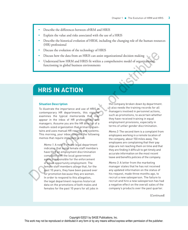- Describe the differences between eHRM and HRIS
- Explain the value and risks associated with the use of a HRIS
- Describe the historical evolution of HRM, including the changing role of the human resources (HR) professional
- Discuss the evolution of the technology of HRIS
- Discuss how the data from an HRIS can assist organizational decision making
- Understand how HRM and HRIS fit within a comprehensive model of organizational functioning in global business environments

# **HRIS IN ACTION**

### **Situation Description**

To illustrate the importance and use of HRIS in contemporary HR departments, this vignette examines the typical memoranda that may appear in the inbox of HR professionals and managers. Assume you are the HR director of a medium-sized organization that primarily maintains and uses manual HR records and systems. This morning, your inbox contains the following memos that *require immediate action.*

*Memo 1:* A note from the legal department indicates that some female staff members have filed an employment discrimination complaint with the local government agency responsible for the enforcement of equal opportunity employment. The female staff members allege that, for the past 10 years, they have been passed over for promotion because they are women. In order to respond to this allegation, the legal department requires historical data on the promotions of both males and females for the past 10 years for all jobs in • Discuss how the data from an HRIS can assist organizational decision making<br>
• Understand how HRM and HRIS fit within a comprehensive model of organizational<br>
• Understand how HRM and HRIS fit within a comprehensive mo

the company broken down by department. It also needs the training records for all managers involved in personnel actions, such as promotions, to ascertain whether they have received training in equal employment provisions, especially in terms of unfair gender discrimination.

*Memo 2:* The second item is a complaint from employees working in a remote location of the company, about 150 miles away. The employees are complaining that their pay slips are not reaching them on time and that they are finding it difficult to get timely and accurate information on the most recent leave and benefits policies of the company.

*Memo 3:* A letter from the marketing manager states that he has not received any updated information on the status of his request, made three months ago, to recruit a new salesperson. The failure to recruit and hire a new salesperson has had a negative effect on the overall sales of the company's products over the past quarter.

(Continued)

Copyright ©2021 by SAGE Publications, Inc.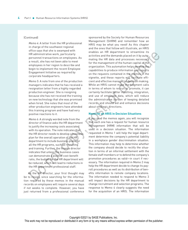### (Continued)

*Memo 4:* A letter from the HR professional in charge of the southwest regional office says that she is swamped with HR administrative work, particularly personnel transactions on employees. As a result, she has not been able to meet employees in her region to describe and begin to implement the recent Employee Engagement Initiative as required by corporate headquarters.

*Memo 5:* A note from one of the production managers indicates that he has received a resignation letter from a highly regarded production engineer. She is resigning because she has not received the training on new technology that she was promised when hired. She notes that most of the other production engineers have attended this training program and have had very positive reactions to it.

*Memo 6:* A strongly worded note from the director of finance asks the HR department to justify the increasing costs associated with its operation. The note indicates that the HR director needs to develop a business plan for the overall operation of the HR department to include business plans for all the HR programs, such as recruiting and training. Further, the finance director indicates that unless the business cases can demonstrate a positive cost-benefit ratio, the budget for the HR department will be reduced, which will lead to reductions in the HR department professional staff.

As the HR director, your first thought may be to resign, since searching for the information required by these memos in the manual records on employees will require several days if not weeks to complete. However, you have just returned from a professional conference

sponsored by the Society for Human Resources Management (SHRM) and remember how an HRIS may be what you need! As this chapter and the ones that follow will illustrate, an HRIS enables an HR department to streamline its activities and the demands placed on it by automating the HR data and processes necessary for the management of the human capital of the organization. This automation helps develop the capabilities to produce information and reports on the requests contained in the memos in the vignette, and these reports will facilitate efficient and effective managerial decision making. While an HRIS cannot make the judgment calls in terms of whom to recruit or promote, it can certainly facilitate better inputting, integration, and use of employee data, which will reduce the administrative burden of keeping detailed records and should aid and enhance decisions about strategic directions.

## **Need for an HRIS in Decision Situations**

If you read the memos again, you will recognize that each one has a request for human resource management (HRM) information that will be used in a decision situation. The information requested in Memo 1 will help the legal department determine the company's potential liability in a workplace gender discrimination situation. This information may help to determine whether the company should decide to rectify the situation in terms of an informal settlement with the female staff members or to defend the company's promotion procedures as valid—in court if necessary. The information required in Memo 2 may help the HR department decide to change its payroll procedures as well as its distribution of benefits information to remote company locations. The information needed to respond to Memo 3 will impact decisions by the HR department to change recruitment and selection programs. The response to Memo 4 clearly suggests the need for the acquisition of an HRIS. The information HR administrative work, particularly satativities and HR department to streamline its permontine and processes. As a mixtup the HR deta and processes necessary researching the management of the human capital of the particu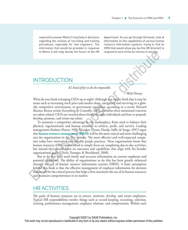required to answer Memo 5 may help in decisions regarding the revision of recruiting and training procedures, especially for new engineers. The information that would be provided in response to Memo 6 will help decide the future of the HR department. As you go through this book, look at information on the capabilities of various human resource information systems, trying to find an HRIS that would allow you (as the HR director) to respond to each of the six memos in one day.

# INTRODUCTION

*It's kind of fun to do the impossible.*

—Walt Disney

What do you think is keeping CEOs up at night? Although you might think that it may be issues such as increasing stock price and market share, navigating and surviving in a globally competitive environment, or government regulation, according to a recent *Harvard Business Review* article (Groysberg & Connolly, 2015), the most-often mentioned concerns are talent related. CEOs are worried about hiring the right individuals and how to properly develop, promote, and retain top talent.

To maintain a competitive advantage in the marketplace, firms need to balance their physical, organizational, and human resources to achieve, profit, and survive. Leading management thinkers (Porter, 1990; Drucker, Dyson, Handy, Saffo, & Senge, 1997) argue that **human resource management (HRM)** will be the most critical and most challenging area for organizations in the 21st century. The most effective and well-respected companies today have innovative and valuable people practices. These organizations know that human resources (HR) cannot afford to simply focus on completing day-to-day activities, but instead they should focus on outcomes and capabilities that align with the broader organizational goals (Ulrich, Younger, & Brockbank, 2008). To Memo 6 will help decide the tuture of the HK respond to each of the six memos in one distributed in the six for the time of the impossible. Walt Disney  $\mathcal{W}$  and  $\omega$  you think is keeping CEOs up at night? Although

But to do this, they need timely and accurate information on current employees and potential employees. The ability of organizations to do this has been greatly enhanced through the use of human resource information systems (HRIS). A basic assumption behind this book is that the effective management of employee information for decision makers will be the critical process that helps a firm maximize the use of its human resources and maintain competitiveness in its market.

# HR ACTIVITIES

The goals of human resources are to attract, motivate, develop, and retain employees. Typical HR responsibilities involve things such as record keeping, recruiting, selection, training, performance management, employee relations, and compensation. Within each

### Copyright ©2021 by SAGE Publications, Inc.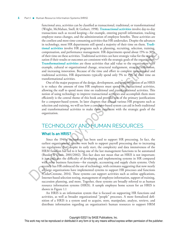#### **6** Part I ■ Human Resource Information Systems (HRIS)

functional area, activities can be classified as transactional, traditional, or transformational (Wright, McMahan, Snell, & Gerhart, 1998). **Transactional activities** involve day-to-day transactions such as record keeping—for example, entering payroll information, tracking employee status changes, and the administration of employee benefits. These activities are the costliest and most time-consuming activities that HR undertakes. Despite the advances in technology, most HR departments still spend a majority of their time on them. **Traditional activities** involve HR programs such as planning, recruiting, selection, training, compensation, and performance management. HR departments spend about 15% to 30% of their time on these activities. Traditional activities can have strategic value for the organization if their results or outcomes are consistent with the strategic goals of the organization. **Transformational activities** are those activities that add value to the organization—for example, cultural or organizational change, structural realignment, strategic redirection, and increasing innovation. Because of the time and effort to complete transactional and traditional activities, HR departments typically spend only 5% to 15% of their time on transformational activities.

One of the major purposes of the design, development, and implementation of an HRIS is to reduce the amount of time HR employees must spend on transactional activities, allowing the staff to spend more time on traditional and transformational activities. This notion of using technology to improve transactional activities and accomplish them more efficiently is the central theme of this book and provides one of the primary justifications for a computer-based system. In later chapters that discuss various HR programs such as selection and training, we will see how a computer-based system can aid in both traditional and transformational activities to make them consistent with the strategic goals of the organization.

# TECHNOLOGY AND HUMAN RESOURCES

# **What Is an HRIS?**

Since the 1940s, technology has been used to support HR processing. In fact, the earliest organizational systems were built to support payroll processing due to increasing tax regulations. But, despite its early start, the complexity and data intensiveness of the HRM function has led to it being one of the last management functions to be automated (Bussler & Davis, 2001/2002). This fact does not mean that an HRIS is not important; it just indicates the difficulty of developing and implementing systems in HR compared with other business functions—for example, accounting and supply chain systems. Only recently has HR embraced the use of technology, with estimates suggesting that now nearly all large organizations have implemented systems to support HR processes and functions (CedarCrestone, 2014). These systems can support activities such as online applications, Internet-based selection testing, management of employee information, support of training, succession planning, and more. Together, these systems are broadly referred to as human resource information systems (HRIS). A sample employee home screen for an HRIS is shown in Figure 1.1 compensation, and performance management. His departments spend about 19% to 30% and the reaction of their results of contomic state consistent with the stratterie geolasion fields reaction and consistent with the stratter

An HRIS is an information system that is focused on supporting HR functions and activities, as well as broader organizational "people" processes. A more formalized definition of a HRIS is a system used to acquire, store, manipulate, analyze, retrieve, and distribute information regarding an organization's human resources to support HRM

Copyright ©2021 by SAGE Publications, Inc.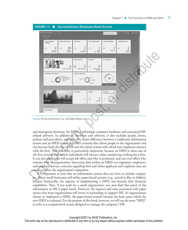

*Source:* © SuccessFactors, Inc. All Rights Reserved

and managerial decisions. An HRIS is not simply computer hardware and associated HRrelated software. In addition to hardware and software, it also includes people, forms, policies and procedures, and data. The major difference between a traditional information system and an HRIS is that the HRIS contains data about people in the organization and can become both the face of HR and the initial system with which new employees interact with the firm. This difference is particularly important, because an HRIS is often one of the first systems with which individuals will interact when considering working for a firm. It can also affect who will accept job offers and who is promoted, and can even affect who remains with an organization. Inaccurate data within an HRIS can stigmatize employees, and employee privacy concerns regarding how and where applicant and employee data are used can affect the organization's reputation.

It is important to note that an information system does not have to include computers. Many small businesses *still* utilize paper-based systems (e.g., stored in files or folders), because historically, the expense of implementing a HRIS was beyond their financial capabilities. Thus, if you work for a small organization, you may find that much of the information in HR is paper based. However, the expense and time associated with paper means that most organizations will invest in technology to support HR. As organizations choose to implement a HRIS, the paper-based systems become the basis upon which the new HRIS is evaluated. For the purpose of this book, however, we will use the term "HRIS" to refer to a computerized system designed to manage the company's HR.

### Copyright ©2021 by SAGE Publications, Inc.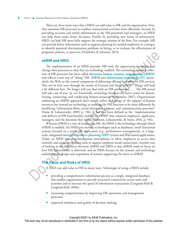There are three main ways that a HRIS can add value to HR and the organization. First, they automate HR processes to conduct transactional activities more efficiently. Second, by providing accurate and timely information to the HR personnel and managers, an HRIS can help them make better decisions. Finally, by providing new forms of information, HRIS can help HR more fully support the strategic mission of the firm. For example, HR can provide better information used to support planning for needed employees in a merger, to identify potential discrimination problems in hiring, or to evaluate the effectiveness of programs, policies, or practices (Dulebohn & Johnson, 2013).

## **eHRM and HRIS**

The implementation of an HRIS provides HR with the opportunity to update and change their processes so that they are technology enabled. This technology-enabled collection of HR processes has been called **electronic human resource management (eHRM)** and reflects a new way of "doing" HR. eHRM uses **information technology (IT)**, particularly the Web, as the central component of delivering efficient and effective HR services. This can be best seen through the words of Gueutal and Stone (2005): "Things will look a bit different here. No longer will you deal with an HR professional. . . . The HR portal will take care of you" (p. xv). Essentially, technology becomes the nerve center for disseminating, connecting, and conducting human resources (Strohmeier, 2007). Organizations embracing an eHRM approach don't simply utilize technology in the support of human resources but instead see technology as enabling the HR function to be done differently by modifying "information flows, social interaction patterns, and communication processes" (Stone & Lukaszewski, 2009, p. 136). It has also been defined as the "implementation and delivery of HR functionality enabled by a HRIS that connects employees, applicants, managers, and the decisions they make" (Johnson, Lukaszewski, & Stone, 2016, p. 536). programs, policies, or practices (Uulebobn & Johnson, 2013).<br> **EHRM and HRIS**<br>
The implementation of an HRIS provides HR with the opportunity to update and<br>
then impedimentation of an HRIS provides HR with the opportunity

Whereas eHRM is a way of conducting HR, the HRIS is the technology through which eHRM is enabled. An HRIS can include technologies such as databases, small functional systems focused on a single HR application (e.g., performance management), or a largescale, integrated **enterprise resource planning (ERP)** system and Web-based applications. Today, an HRIS may even incorporate smartphones to allow employees to access data remotely and social networking tools to support employee social connections. Another way of looking at the differences between eHRM and HRIS is that eHRM tends to focus on how HR functionality is delivered, and an HRIS focuses on the systems and technology underlying the design and acquisition of systems supporting the move to eHRM.

# **The Value and Risks of HRIS**

A HRIS can add value to HR in many ways. Advantages of using a HRIS include

- providing a comprehensive information picture as a single, integrated database; this enables organizations to provide structural connectivity across units and activities and to increase the speed of information transactions (Lengnick-Hall & Lengnick-Hall, 2006);
- increasing competitiveness by improving HR operations and management processes;
- improved timeliness and quality of decision making;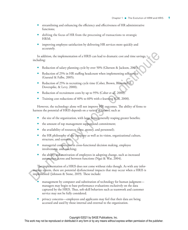- streamlining and enhancing the efficiency and effectiveness of HR administrative functions;
- shifting the focus of HR from the processing of transactions to strategic HRM;
- improving employee satisfaction by delivering HR services more quickly and accurately.

In addition, the implementation of a HRIS can lead to dramatic cost and time savings, including:

- Reduction of salary planning cycle by over 50% (Gherson & Jackson, 2001);
- Reduction of 25% in HR staffing headcount when implementing self-service (Gueutal & Falbe, 2005);
- Reduction of 25% in recruiting cycle time (Cober, Brown, Blumenthal, Doverspike, & Levy, 2000);
- Reduction of recruitment costs by up to 95% (Cober et al., 2000);
- Training cost reductions of 40% to 60% with e-learning (Gill, 2000).

However, the technology alone will not improve HR outcomes. The ability of firms to harness the potential of HRIS depends on a variety of factors, such as

- the size of the organization, with large firms generally reaping greater benefits;
- the amount of top management support and commitment;
- the availability of resources (time, money, and personnel);
- the HR philosophy of the company as well as its vision, organizational culture, structure, and systems;
- managerial competence in cross-functional decision making, employee involvement, and coaching;
- the ability and motivation of employees in adopting change, such as increased automation across and between functions (Ngai & Wat, 2004).

The implementation of a HRIS does not come without risks though. As with any information system, there are potential dysfunctional impacts that may occur when a HRIS is implemented (Johnson & Stone, 2019). These include: In addition, the implementation of a HRIS can lead to dramatic cost and time savings,<br>
including:<br>
• Reduction of 2818y in HR staffing headcount when implementing self-screen<br>
• Reduction of 29% in HR staffing headcount w

- management by computer and substitution of technology for human judgment managers may begin to base performance evaluations exclusively on the data captured by the HRIS. Thus, soft-skill behaviors such as teamwork and customer service may not be fully considered.
- privacy concerns—employees and applicants may feel that their data are being accessed and used by those internal and external to the organization.

#### Copyright ©2021 by SAGE Publications, Inc.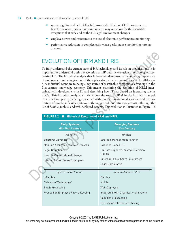- system rigidity and lack of flexibility—standardization of HR processes can benefit the organization, but some systems may not allow for the inevitable exceptions that arise and as the HR legal environment changes.
- employee stress and resistance to the use of electronic performance monitoring.
- performance reduction in complex tasks when performance monitoring systems are used.

# EVOLUTION OF HRM AND HRIS

| <b>EVOLUTION OF HRM AND HRIS</b><br>To fully understand the current state of HR technology and its role in organizations, it is<br>important to understand both the evolution of HR and the evolution of technologies sup-<br>porting HR. The historical analysis that follows will demonstrate the growing importance<br>of employees from being just one of the replaceable parts in organizations in the 20th-cen-<br>tury industrial economy to being a key source of sustainable competitive advantage in the<br>21st-century knowledge economy. This means examining the evolution of HRM inter-<br>twined with developments in IT and describing how IT has played an increasing role in<br>HRM. This historical analysis will show how the role of HRM in the firm has changed<br>over time from primarily being concerned with routine transactional activities and the uti-<br>lization of simple, inflexible systems to the support of more strategic activities through the<br>use of flexible, mobile, and web-deployed systems. This evolution is illustrated in Figure 1.2 |                                                |
|-------------------------------------------------------------------------------------------------------------------------------------------------------------------------------------------------------------------------------------------------------------------------------------------------------------------------------------------------------------------------------------------------------------------------------------------------------------------------------------------------------------------------------------------------------------------------------------------------------------------------------------------------------------------------------------------------------------------------------------------------------------------------------------------------------------------------------------------------------------------------------------------------------------------------------------------------------------------------------------------------------------------------------------------------------------------------------------------|------------------------------------------------|
| FIGURE 1.2   Historical Evolution of HRM and HRIS                                                                                                                                                                                                                                                                                                                                                                                                                                                                                                                                                                                                                                                                                                                                                                                                                                                                                                                                                                                                                                         |                                                |
| <b>Early Systems</b><br><b>Mid-20th Century</b>                                                                                                                                                                                                                                                                                                                                                                                                                                                                                                                                                                                                                                                                                                                                                                                                                                                                                                                                                                                                                                           | <b>Emerging Systems</b><br><b>21st Century</b> |
| <b>HR Role</b>                                                                                                                                                                                                                                                                                                                                                                                                                                                                                                                                                                                                                                                                                                                                                                                                                                                                                                                                                                                                                                                                            | <b>HR</b> Role                                 |
| Employee Advocate                                                                                                                                                                                                                                                                                                                                                                                                                                                                                                                                                                                                                                                                                                                                                                                                                                                                                                                                                                                                                                                                         | Strategic Management Partner                   |
| Maintain Accurate Employee Records                                                                                                                                                                                                                                                                                                                                                                                                                                                                                                                                                                                                                                                                                                                                                                                                                                                                                                                                                                                                                                                        | Evidence-Based HR                              |
| Legal Compliance<br>React to Organizational Change                                                                                                                                                                                                                                                                                                                                                                                                                                                                                                                                                                                                                                                                                                                                                                                                                                                                                                                                                                                                                                        | HR Data Supports Strategic Decision<br>Making  |
| Internal Focus: Serve Employees                                                                                                                                                                                                                                                                                                                                                                                                                                                                                                                                                                                                                                                                                                                                                                                                                                                                                                                                                                                                                                                           | External Focus: Serve "Customers"              |
|                                                                                                                                                                                                                                                                                                                                                                                                                                                                                                                                                                                                                                                                                                                                                                                                                                                                                                                                                                                                                                                                                           | Legal Compliance                               |
|                                                                                                                                                                                                                                                                                                                                                                                                                                                                                                                                                                                                                                                                                                                                                                                                                                                                                                                                                                                                                                                                                           |                                                |
| <b>System Characteristics</b>                                                                                                                                                                                                                                                                                                                                                                                                                                                                                                                                                                                                                                                                                                                                                                                                                                                                                                                                                                                                                                                             | <b>System Characteristics</b>                  |
| Inflexible                                                                                                                                                                                                                                                                                                                                                                                                                                                                                                                                                                                                                                                                                                                                                                                                                                                                                                                                                                                                                                                                                | Flexible                                       |
| "Islands of Technology"                                                                                                                                                                                                                                                                                                                                                                                                                                                                                                                                                                                                                                                                                                                                                                                                                                                                                                                                                                                                                                                                   | Mobile                                         |
| <b>Batch Processing</b>                                                                                                                                                                                                                                                                                                                                                                                                                                                                                                                                                                                                                                                                                                                                                                                                                                                                                                                                                                                                                                                                   | Web-Deployed                                   |
| Focused on Employee Record Keeping                                                                                                                                                                                                                                                                                                                                                                                                                                                                                                                                                                                                                                                                                                                                                                                                                                                                                                                                                                                                                                                        | Integrated With Organizational System          |
|                                                                                                                                                                                                                                                                                                                                                                                                                                                                                                                                                                                                                                                                                                                                                                                                                                                                                                                                                                                                                                                                                           | Real-Time Processing                           |
|                                                                                                                                                                                                                                                                                                                                                                                                                                                                                                                                                                                                                                                                                                                                                                                                                                                                                                                                                                                                                                                                                           | <b>Focused on Information Sharing</b>          |

## **FIGURE 1.2** ■ **Historical Evolution of HRM and HRIS**

Copyright ©2021 by SAGE Publications, Inc.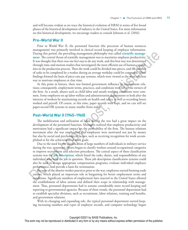and will become evident as we trace the historical evolution of HRM in terms of five broad phases of the historical development of industry in the United States. For more information on this historical development, we encourage readers to consult Johnson et al. (2016).

# **Pre–World War II**

Prior to World War II, the personnel function (the precursor of human resources management) was primarily involved in clerical record keeping of employee information. During this period, the prevailing management philosophy was called **scientific management**. The central thrust of scientific management was to maximize employee productivity. It was thought that there was *one best way* to do any work, and this best way was determined through time-and-motion studies that investigated the most efficient use of human capabilities in the production process. Then the work could be divided into pieces, and the number of tasks to be completed by a worker during an average workday could be computed. These findings formed the basis of piece-rate pay systems, which were viewed as the most efficient way to motivate employees at that time. During this period, the precading mangement philosophy was called scientific management philosophy was comparison two strong in two strong in the strong in the strong in the strong in the strong in the strong in the stron

At this point in history, there was limited government influence in employment relations; consequently, employment terms, practices, and conditions were left to the owners of the firm. As a result, abuses such as child labor and unsafe working conditions were common. Some employers set up labor welfare and administration departments to look after the interests of workers by maintaining records on health and safety as well as recording hours worked and payroll. Of course, at this time, paper records were kept, and we can still see paper-record HR systems in many smaller firms today.

# **Post–World War II (1945–1960)**

The mobilization and utilization of labor during the war had a great impact on the development of the personnel function. Managers realized that employee productivity and motivation had a significant impact on the profitability of the firm. The human relations movement after the war emphasized that employees were motivated not just by money but also by social and psychological factors, such as receiving recognition for work accomplished or for the achievement of work goals.

Due to the need for the classification of large numbers of individuals in military service during the war, systematic efforts began to classify workers around occupational categories to improve recruitment and selection procedures. The central aspect of these classification systems was the **job description**, which listed the tasks, duties, and responsibilities of any individual who held the job in question. These job description classification systems could also be used to design appropriate compensation programs, evaluate individual employee performance, and provide a basis for termination.

Because of the abusive worker practices prior to the war, employees started forming trade unions, which played an important role in bargaining for better employment terms and conditions. Significant numbers of employment laws enacted in the United States allowed the establishment of labor unions and defined their scope in relationship with management. Thus, personnel departments had to assume considerably more record keeping and reporting to governmental agencies. Because of these trends, the personnel department had to establish specialist divisions, such as recruitment, labor relations, training and benefits, and government relations.

With its changing and expanding role, the typical personnel department started keeping increasing numbers and types of employee records, and computer technology began

#### Copyright ©2021 by SAGE Publications, Inc.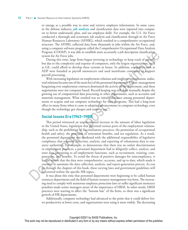to emerge as a possible way to store and retrieve employee information. In some cases, in the defense industry, **job analysis** and classification data were inputted into computers to better understand, plan, and use employee skills. For example, the U.S. Air Force conducted a thorough and systematic job analysis and classification through its Air Force Human Resources Laboratory (AFHRL), which resulted in a comprehensive occupational structure. The AFHRL collected data from thousands in jobs within the Air Force, and, using a computer software program called the Comprehensive Occupational Data Analysis Program (CODAP), it was able to establish more accurately a job description classification system for Air Force jobs.

During this time, large firms began investing in technology to keep track of payroll, but due to the complexity and expense of computers, only the largest organizations, such as GE, could afford to develop these systems in house. In addition, companies such as ADP were founded as payroll outsourcers and used mainframe computers to support payroll processing.

With increasing legislation on employment relations and employee unionization, industrial relations became one of the main foci of the personnel department. Union–management bargaining over employment contracts dominated the activity of the department, and these negotiations were not computer based. Record keeping was still done manually despite the growing use of computerized data processing in other departments, such as accounts and materials management. What resulted was an initial reluctance among personnel departments to acquire and use computer technology for their programs. This had a long-term effect in many firms when it came to adopting advancements in computer technology, even though the technology got cheaper and easier to use.

# **Social Issues Era (1963–1980)**

This period witnessed an unprecedented increase in the amount of labor legislation in the United States, legislation that governed various parts of the employment relationship, such as the prohibition of discriminatory practices, the promotion of occupational health and safety, the provision of retirement benefits, and tax regulation. As a result, the personnel department was burdened with the additional responsibility of legislative compliance that required collection, analysis, and reporting of voluminous data to statutory authorities. For example, to demonstrate that there was no unfair discrimination in employment practices, a personnel department had to diligently collect, analyze, and store data pertaining to *all* employment functions, such as recruitment, training, compensation, and benefits. To avoid the threat of punitive damages for noncompliance, it had to ensure that the data were comprehensive, accurate, and up to date, which made it essential to automate the data collection, analysis, and report-generation process. As you go through the chapters of this book, these varying laws and government guidelines will be covered within the specific HR topics. Frogram (COIM), to was able to establish more accurately a job description classication<br>ystem for Air Force jobs.<br>
During this time, large firms began investiga in technology to keep track of payrol),<br>
During this time, l

It was about this time that personnel departments were beginning to be called human resources departments and the field of human resource management was born. The increasing need to comply with numerous employee protection laws or suffer significant monetary penalties made senior managers aware of the importance of HRM. In other words, HRM practices were starting to affect the "bottom line" of the firms, so there was a significant growth of HR departments.

Additionally, computer technology had advanced to the point that it could deliver better productivity at lower costs, and organizations were using it more widely. The decreasing

Copyright ©2021 by SAGE Publications, Inc.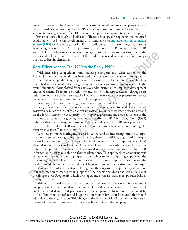costs of computer technology versus the increasing costs of employee compensation and benefits made the acquisition of an HRIS a necessary business decision. As a result, there was an increasing demand for HR to adopt computer technology to process employee information more effectively and efficiently. These technology developments and increased vendor activity led to the development of a comprehensive **management information system (MIS)** for HRM (e.g., an HRIS). In addition, early forms of integrated systems were being developed by SAP, the precursor to the modern ERP. But interestingly, HR was still slow in adopting computer technology. Thus, the major issue at this time in the historical development of HRIS was not the need for increased capabilities of technology but how to best implement it.

# **Cost-Effectiveness Era (1980 to the Early 1990s)**

With increasing competition from emerging European and Asian economies, the U.S. and other multinational firms increased their focus on cost reduction through automation and other productivity improvement measures. In HR, administrative burdens intensified with the need to fulfill a growing number of legislative requirements, while the overall functional focus shifted from employee administration to employee development and involvement. To improve effectiveness and efficiency in service delivery through cost reduction and value-added services, the HR departments came under pressure to harness technology that was becoming cheaper and more powerful.

In addition, there was a growing realization within management that people costs were a very significant part of a company's budget. Some companies estimated that personnel costs were as much as 80% of their operating costs. As a result, there was a growing demand on the HRM function to cost justify their employee programs and services. In one of the first books to address this growing need to cost justify the HRM function, Cascio (1984) indicates that the language of business is dollars and cents, and HR managers need to realize this fact. But the challenge facing HR was that most leaders were not thinking like business managers (Fitz-enz, 1980).

Technology was becoming more cost effective, and an increasing number of organizations were increasingly able to afford using them. In addition, organizations began networking computers together, and the development of microcomputers (e.g., PCs) allowed organizations to leverage the power of both the mainframe and local computer to support HR operations. This allowed managers and employees to have HR information directly available on their workstations. This approach to computing was called client-server computing. Specifically, client-server computing supported the processing and use of both HR data on the mainframe computer as well as on the local personal computer of an employee. Organizations could now distribute employee information to multiple locations throughout the organization, providing more current information to managers in support of their personnel decisions. An early leader in this space was PeopleSoft, which developed one of the first and most popular HRISs during this time. was still sixture in adopting computer technology. Ihus, the major issue at this time in the same of the stational conducts of echnology but how to best implement it.<br> **Cost-Effectiveness Era** [1980 to the Early 1990s]<br>
U

Although as noted earlier, the prevailing management thinking regarding the use of computers in HR was not that their use would result in a reduction in the number of employees needed in HR departments but that employee activities and time could be shifted from transactional record keeping to more transformational activities that would add value to the organization. This change in the function of HRM could then be clearly measured in terms of cost-benefit ratios to the bottom line of the company.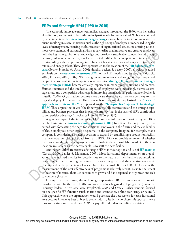## **ERPs and Strategic HRM (1990 to 2010)**

The economic landscape underwent radical changes throughout the 1990s with increasing globalization, technological breakthroughs (particularly Internet-enabled Web services), and hyper competition. **Business process reengineering** exercises became more common and frequent, resulting in several initiatives, such as the rightsizing of employee numbers, reducing the layers of management, reducing the bureaucracy of organizational structures, creating autonomous work teams, and outsourcing. Firms today realize that innovative and creative employees hold the key to organizational knowledge and provide a sustainable competitive advantage because, unlike other resources, intellectual capital is difficult for competitors to imitate.

Accordingly, the people management function became strategic and was geared to attract, retain, and engage talent. These developments led to the creation of the **HR balanced scorecard** (Becker, Huselid, & Ulrich, 2001; Huselid, Becker, & Beatty, 2005), as well as to added emphasis on the **return on investment (ROI)** of the HR function and its programs (Cascio, 2000; Fitz-enz, 2000, 2002). With the growing importance and recognition of people and people management in contemporary organizations, **strategic human resource management (strategic HRM)** became critically important in management thinking and practice. Human resources and the intellectual capital of employees were increasingly viewed as strategic assets and a competitive advantage in improving organizational performance (Becker & Huselid, 2006). Organizations became more aware that there was not one best way to strategically deploy HR resources. Thus, researchers increasingly emphasized the **"best-fit" approach to strategic HRM** as opposed to the **"best-practice" approach to strategic HRM**. They argued that it was "the fit between the HR architecture and the strategic capabilities and business processes that implement strategy that is the basis of HR's contribution to competitive advantage" (Becker & Huselid, 2006, p. 899). hold the key to organizational smoothear and provide a sustainable competitive advantage<br>beats, unlike only organizational knowledge and provide a sustainable competitive advantage<br>beats, concludingly, the proople managem

A good example of the importance of HR and the information provided by an HRIS can be found in the **human resources planning (HRP)** function. HRP is primarily concerned with forecasting the need for additional employees in the future and the availability of those employees either inside or external to the company. Imagine, for example, that a company is considering a strategic decision to expand by establishing a production facility in a new location. Using the data from an HRIS, HRP can provide estimates of whether there are enough internal employees or individuals in the external labor market of the new location available with the necessary skills to staff the new facility.

Another critical characteristic of strategic HRM is the adoption and use of **HR metrics**  (Cascio, 2000; Lawler & Mohrman, 2003). Most functional departments of an organization have utilized metrics for decades due to the nature of their business transactions. For example, the marketing department has set sales goals, and the effectiveness metric that is used is the percentage of sales relative to the goal. But for HR, the focus on the measurement of the cost effectiveness of programs is relatively recent. Despite the recent utilization of metrics, their use continues to grow and has deepened as organizations seek to compete globally.

During this time frame, the technology supporting HR also underwent a dramatic transformation. In the late 1990s, software vendors began developing (ERP) systems. Industry leaders in this area were PeopleSoft, SAP and Oracle. Other vendors focused on one-specific HR function (such as time and attendance, online recruiting, or payroll). This approach where the organization would purchase the best system for each functional area became known as best of breed. Some industry leaders who chose this approach were Kronos for time and attendance, ADP for payroll, and Taleo for online recruiting.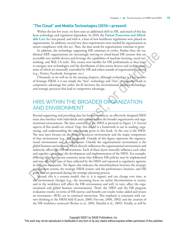# **"The Cloud" and Mobile Technologies (2010—present)**

Within the last few years, we have seen an additional shift in HR, and much of this has been technology and regulation dependent. In 2010, the **Patient Protection and Affordable Care Act** was passed, and with it, a host of new healthcare regulations were placed on organizations. In addition, several new data requirements were needed by organizations to ensure compliance with this act. Thus, the data needs for organizations continue to grow.

In addition, the technology supporting HR continues to evolve. Rather than the traditional ERP, organizations are increasingly moving to cloud-based HR systems that are accessible over mobile devices and leverage the capabilities of machine learning, social networking, and Web 2.0 tools. This creates new hurdles for HR professionals as they learn to navigate new technologies and the distribution of data across devices and architectures, some of which are internally controlled by HR and others outside of organizational control (e.g., Twitter, Facebook, Instagram, etc.).

Ultimately, as we will see in the ensuing chapters, although technology is a key enabler of Strategic HRM, it is not simply the "best" technology and "best" strategy that leads to competitive advantage but rather the fit between the environmental realities, technology, and strategic practices that lead to competitive advantage.

# HRIS WITHIN THE BROADER ORGANIZATION AND ENVIRONMENT

Beyond supporting and providing data for human resources, an effectively designed HRIS must also interface with individuals and systems within the broader organization and organizational environment. The data centrality of the HRIS is pictured in Figure 1.3. Several aspects of this model are critical. First, this model is a framework to use in reading, organizing, and understanding the information given in this book. At the core is the HRIS. The next layer focuses on the human resources environment and the major components of that environment (e.g., HR programs). Outside of this figure represents the organizational environment and its components. Outside the organizational environment is the global business environment, which directly influences the organizational environment and indirectly affects the HR environment. Each of these layers mutually influence each other and together can impact the development and implementation of the HRIS. For example, differing labor laws across countries mean that different HR policies may be implemented and may affect the type of data collected by the HRIS and reported to regulatory agencies in different companies. The figure also indicates the interrelatedness between the strategic management system; the strategic HRM system; and the performance, business, and HR goals that are generated during the strategic planning process. distinctional ERIS (with the state of the state of the state and the state and excessible over mobile devices and leverage the capabilities of mathine leverage and with 2.0 cools. This creases new hurdles for 1IR professio

Second, this is a systems model; that is, it is organic and can change over time, as the environment changes (e.g., the increasing focus on unfair discrimination in society and in the workforce will affect the HR environment and will, in turn, affect the organizational and global business environments). Third, the HRIS and the HR program evaluation results, in terms of HR metrics and benefit-cost results (value added and return on investment**—**ROI), are in continual interaction. This emphasis is consistent with current thinking in the HRM field (Cascio, 2000; Fitz-enz, 2000, 2002) and the creation of the HR workforce scorecard (Becker et al., 2001; Huselid et al., 2005). Finally, as will be

Copyright ©2021 by SAGE Publications, Inc.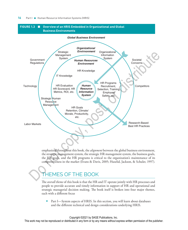## **16** Part I ■ Human Resource Information Systems (HRIS)



emphasized throughout this book, the *alignment* between the global business environment, the strategic management system, the strategic HR management system, the business goals, the HR goals, and the HR programs is critical to the organization's maintenance of its competitiveness in the market (Evans & Davis, 2005; Huselid, Jackson, & Schuler, 1997).

# THEMES OF THE BOOK

The *overall theme* of this book is that the HR and IT operate jointly with HR processes and people to provide accurate and timely information in support of HR and operational and strategic managerial decision making. The book itself is broken into four major themes, each with a different focus

• Part I—System aspects of HRIS. In this section, you will learn about databases and the different technical and design considerations underlying HRIS.

Copyright ©2021 by SAGE Publications, Inc.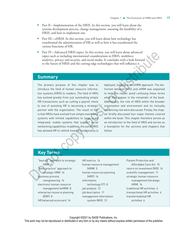- Part II—Implementation of the HRIS. In this section, you will learn about the systems development process, change management, assessing the feasibility of a HRIS, and how to implement one.
- Part III—eHRM. In this section, you will learn about how technology has transformed the administration of HR as well as how it has transformed the various functions of HR.
- Part IV—Advanced HRIS topics. In this section, you will learn about advanced topics such as including international considerations in HRIS, workforce analytics, privacy and security, and social media. It concludes with a look forward to the future of HRIS and the cutting-edge technologies that will influence it.

# **Summary**

The primary purpose of this chapter was to introduce the field of human resource information systems (HRIS) to readers. The field of HRIS has evolved greatly from just automating simple HR transactions such as cutting a payroll check to one of assisting HR in becoming a strategic partner with the organization. The result of this is that HRISs have evolved from simple mainframe systems with limited capabilities to large-scale integrated, mobile systems that support social networking capabilities. In addition, the use of HRIS has allowed HR to rethink how HR functionality is • Part IV—Advanced HRIS topics. In this section, you will learn about advanced<br>
topics such as including international considerations in HRIS, workforce<br>
analytics, privacy and security, and social media. It concludes wi

deployed, leading to an eHRM approach. The distinction between HRIS and eHRM was explained to help the reader avoid confusing these terms when they appear in the remainder of the book. Additionally, the role of HRIS within the broader organization and environment and its mutually influencing role were discussed. Finally, the chapter briefly discussed four major themes covered within the book. This chapter therefore serves as an introduction to the field of HRIS and serves as a foundation for the sections and chapters that follow.

# **Key Terms**

"best-fit" approach to strategic HRM 14 "best-practice" approach to strategic HRM 14 business process reengineering 14 electronic human resource management (eHRM) 8 enterprise resource planning (ERP) 8 HR balanced scorecard 14

HR metrics 14 human resource management (HRM) 5 human resources planning (HRP) 14 information technology (IT) 8 job analysis 12 job description 11 management information system (MIS) 13

Patient Protection and Affordable Care Act 15 return on investment (ROI) 14 scientific management 11 strategic human resource management (strategic HRM) 14 traditional HR activities 6 transactional HR activities 6 transformational HR activities 6

Copyright ©2021 by SAGE Publications, Inc.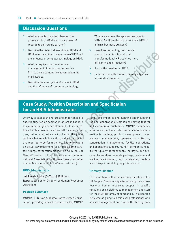# **Discussion Questions**

- 1. What are the factors that changed the primary role of HRM from a caretaker of records to a strategic partner?
- 2. Describe the historical evolution of HRM and HRIS in terms of the changing role of HRM and the influence of computer technology on HRM.
- 3. What is required for the effective management of human resources in a firm to gain a competitive advantage in the marketplace?
- 4. Describe the emergence of strategic HRM and the influence of computer technology.

What are some of the approaches used in HRM to facilitate the use of strategic HRM in a firm's business strategy?

- 5. How does technology help deliver transactional, traditional, and transformational HR activities more efficiently and effectively?
- 6. Justify the need for an HRIS.
- 7. Describe and differentiate the major types of information systems.

# **Case Study: Position Description and Specification for an HRIS Administrator**

One way to assess the nature and importance of a specific function or position in an organization is to examine the job description and job specifications for this position, as they tell us what activities, duties, and tasks are involved in the job as well as what knowledge, skills, and abilities (KSA) are required to perform the job. The following is an actual advertisement for an HRIS administrator. A large corporation placed this ad in the "Job Central" section of the Internet site for the International Association for Human Resources Information Management1 (http://www.ihrim.org).

# **HRIS Administrator**

**Job Level:** Senior (5+ Years), Full time **Reports to:** Senior Director of Human Resources Operations

## **Position Summary**

MOMIRI, LLC is an Alabama Native Owned Corporation, providing shared services to the MOMIRI

family of companies and planning and incubating the next generation of companies serving federal and commercial customers. MOMIRI companies offer core expertise in telecommunications, information technology, product development, major program management, open-source software, construction management, facility operations, and operations support. MOMIRI companies realize that quality personnel are the key to our success. An excellent benefits package, professional working environment, and outstanding leaders are all keys to retaining top professionals. HRIS in terms of the changing role of HRM and<br>
the influence of computer technology on HRM.<br>
Transformational, traditional, and<br>
the influence of correct technology on HRM.<br>
Transformation and effectively?<br>
Mhatis required

#### **Primary Function**

The incumbent will serve as a key member of the HR Support Services department and provide professional human resources support in specific functions or disciplines to management and staff for the MOMIRI family of companies. This position is viewed as going to a midlevel professional who assists management and staff with HR programs

#### Copyright ©2021 by SAGE Publications, Inc.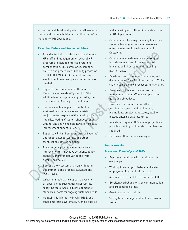at the tactical level and performs all essential duties and responsibilities at the direction of the Manager of HR Operations.

## **Essential Duties and Responsibilities**

- Provides technical assistance to senior-level HR staff and management on several HR programs to include employee relations, compensation, EEO compliance, company policies and procedures, disability programs (STD, LTD, FMLA, ADA), federal and state employment laws, and personnel actions as needed. Provides technical assistance to senior-level<br>
HR stat and management on several HR<br>
Programs to include employee realations,<br>
programs to include employee realations,<br>
programs include entering employee segration<br>
convent
	- Supports and maintains the Human Resources Information System (HRIS) in addition to other systems supported by the management of enterprise applications.
	- Serves as technical point of contact for assigned functional areas and assists subject matter experts with ensuring data integrity, testing of system changes, report writing, and analyzing data flows for process improvement opportunities.
	- Supports HRIS and other enterprise systems' upgrades, patches, testing, and other technical projects as assigned.
	- Recommends process/customer service improvements, innovative solutions, policy changes, and/or major variations from established policy.
		- Serves as key systems liaison with other departments and process stakeholders (e.g., Payroll).

 Writes, maintains, and supports a variety of reports or queries utilizing appropriate reporting tools. Assists in development of standard reports for ongoing customer needs.

 Maintains data integrity in ATS, HRIS, and other enterprise systems by running queries and analyzing and fully auditing data across all HR departments.

- Conducts new hire in-processing to include systems training for new employees and entering new employee information in Costpoint.
- Conducts termination out-processing to include entering employee separation information in Costpoint and reporting attrition data.
- Develops user procedures, guidelines, and documentation for HR-related systems. Trains system users on new processes/functionality.
- Provides HR tools and resources for management and staff to accomplish their goals and objectives.
- Processes personnel actions (hires, terminations, pay and title changes, promotions, employment status, etc.) to include entering data into HRIS.
- Assists with special HR-related projects and provides training to other staff members as required.
- Performs other duties as assigned.

## **Requirements**

## *Specialized Knowledge and Skills*

- Experience working with a multiple-site workforce.
- Working knowledge of federal and state employment laws and related acts.
- Advanced- to expert-level computer skills.
- **Excellent verbal and written communication** and presentation skills.
- Great interpersonal skills.
- Strong time-management and prioritization skills.

Copyright ©2021 by SAGE Publications, Inc.